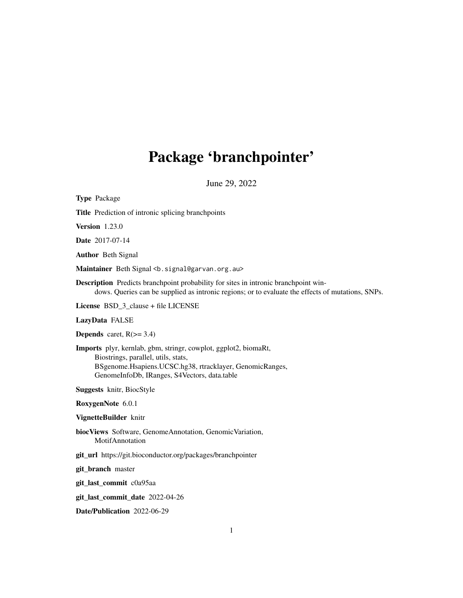# Package 'branchpointer'

June 29, 2022

| <b>Type Package</b>                                                                                                                                                                                                       |  |  |
|---------------------------------------------------------------------------------------------------------------------------------------------------------------------------------------------------------------------------|--|--|
| Title Prediction of intronic splicing branchpoints                                                                                                                                                                        |  |  |
| <b>Version</b> 1.23.0                                                                                                                                                                                                     |  |  |
| <b>Date</b> 2017-07-14                                                                                                                                                                                                    |  |  |
| <b>Author</b> Beth Signal                                                                                                                                                                                                 |  |  |
| Maintainer Beth Signal <b. signal@garvan.org.au=""></b.>                                                                                                                                                                  |  |  |
| <b>Description</b> Predicts branchpoint probability for sites in intronic branchpoint win-<br>dows. Queries can be supplied as intronic regions; or to evaluate the effects of mutations, SNPs.                           |  |  |
| License BSD_3_clause + file LICENSE                                                                                                                                                                                       |  |  |
| LazyData FALSE                                                                                                                                                                                                            |  |  |
| <b>Depends</b> caret, $R$ ( $> = 3.4$ )                                                                                                                                                                                   |  |  |
| <b>Imports</b> plyr, kernlab, gbm, stringr, cowplot, ggplot2, biomaRt,<br>Biostrings, parallel, utils, stats,<br>BSgenome.Hsapiens.UCSC.hg38, rtracklayer, GenomicRanges,<br>GenomeInfoDb, IRanges, S4Vectors, data.table |  |  |
| <b>Suggests</b> knitr, BiocStyle                                                                                                                                                                                          |  |  |
| RoxygenNote 6.0.1                                                                                                                                                                                                         |  |  |
| VignetteBuilder knitr                                                                                                                                                                                                     |  |  |
| biocViews Software, GenomeAnnotation, GenomicVariation,<br>MotifAnnotation                                                                                                                                                |  |  |
| git_url https://git.bioconductor.org/packages/branchpointer                                                                                                                                                               |  |  |
| git_branch master                                                                                                                                                                                                         |  |  |
| git_last_commit c0a95aa                                                                                                                                                                                                   |  |  |
| git_last_commit_date 2022-04-26                                                                                                                                                                                           |  |  |
| Date/Publication 2022-06-29                                                                                                                                                                                               |  |  |
|                                                                                                                                                                                                                           |  |  |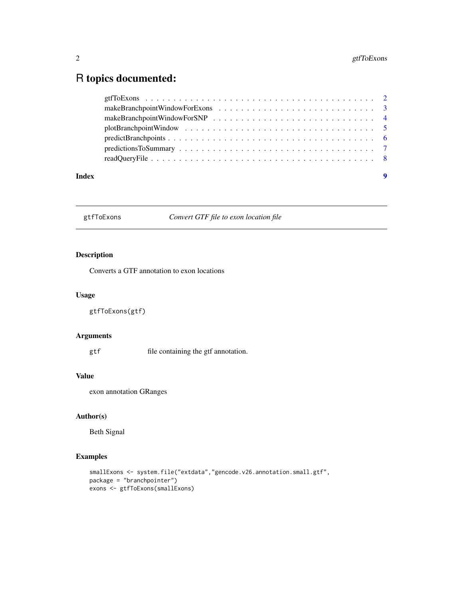### <span id="page-1-0"></span>R topics documented:

| Index | - 9 |
|-------|-----|

gtfToExons *Convert GTF file to exon location file*

#### Description

Converts a GTF annotation to exon locations

#### Usage

```
gtfToExons(gtf)
```
#### Arguments

gtf file containing the gtf annotation.

#### Value

exon annotation GRanges

#### Author(s)

Beth Signal

```
smallExons <- system.file("extdata","gencode.v26.annotation.small.gtf",
package = "branchpointer")
exons <- gtfToExons(smallExons)
```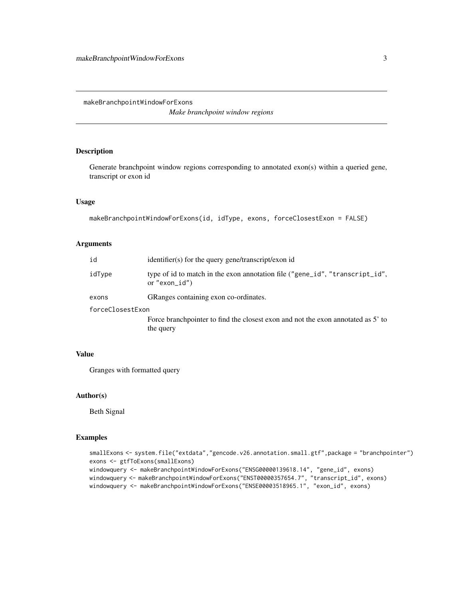<span id="page-2-0"></span>makeBranchpointWindowForExons

*Make branchpoint window regions*

#### Description

Generate branchpoint window regions corresponding to annotated exon(s) within a queried gene, transcript or exon id

#### Usage

```
makeBranchpointWindowForExons(id, idType, exons, forceClosestExon = FALSE)
```
#### Arguments

| identifier(s) for the query gene/transcript/exon id                                               |  |  |
|---------------------------------------------------------------------------------------------------|--|--|
| type of id to match in the exon annotation file ("gene_id", "transcript_id",<br>or "exon_ $id$ ") |  |  |
| GRanges containing exon co-ordinates.                                                             |  |  |
| forceClosestExon                                                                                  |  |  |
| Force branchpointer to find the closest exon and not the exon annotated as 5' to<br>the query     |  |  |
|                                                                                                   |  |  |

### Value

Granges with formatted query

#### Author(s)

Beth Signal

```
smallExons <- system.file("extdata","gencode.v26.annotation.small.gtf",package = "branchpointer")
exons <- gtfToExons(smallExons)
windowquery <- makeBranchpointWindowForExons("ENSG00000139618.14", "gene_id", exons)
windowquery <- makeBranchpointWindowForExons("ENST00000357654.7", "transcript_id", exons)
windowquery <- makeBranchpointWindowForExons("ENSE00003518965.1", "exon_id", exons)
```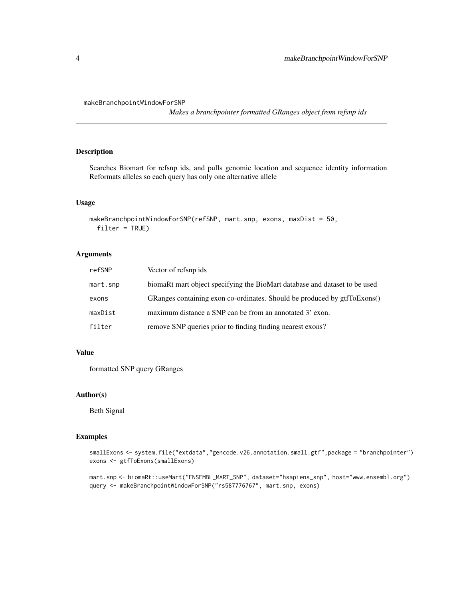```
makeBranchpointWindowForSNP
```
*Makes a branchpointer formatted GRanges object from refsnp ids*

#### Description

Searches Biomart for refsnp ids, and pulls genomic location and sequence identity information Reformats alleles so each query has only one alternative allele

#### Usage

```
makeBranchpointWindowForSNP(refSNP, mart.snp, exons, maxDist = 50,
  filter = TRUE)
```
#### Arguments

| refSNP   | Vector of refsnp ids                                                       |
|----------|----------------------------------------------------------------------------|
| mart.snp | biomaRt mart object specifying the BioMart database and dataset to be used |
| exons    | GRanges containing exon co-ordinates. Should be produced by gtfToExons()   |
| maxDist  | maximum distance a SNP can be from an annotated 3' exon.                   |
| filter   | remove SNP queries prior to finding finding nearest exons?                 |

#### Value

formatted SNP query GRanges

#### Author(s)

Beth Signal

#### Examples

```
smallExons <- system.file("extdata","gencode.v26.annotation.small.gtf",package = "branchpointer")
exons <- gtfToExons(smallExons)
```
mart.snp <- biomaRt::useMart("ENSEMBL\_MART\_SNP", dataset="hsapiens\_snp", host="www.ensembl.org") query <- makeBranchpointWindowForSNP("rs587776767", mart.snp, exons)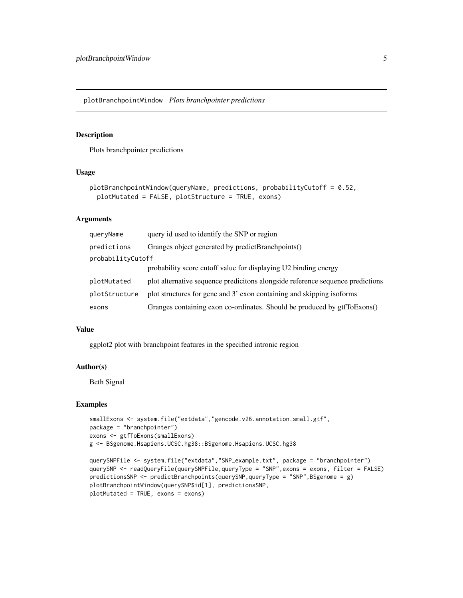<span id="page-4-0"></span>plotBranchpointWindow *Plots branchpointer predictions*

#### Description

Plots branchpointer predictions

#### Usage

```
plotBranchpointWindow(queryName, predictions, probabilityCutoff = 0.52,
 plotMutated = FALSE, plotStructure = TRUE, exons)
```
#### Arguments

| queryName         | query id used to identify the SNP or region                                    |  |
|-------------------|--------------------------------------------------------------------------------|--|
| predictions       | Granges object generated by predictBranchpoints()                              |  |
| probabilityCutoff |                                                                                |  |
|                   | probability score cutoff value for displaying U2 binding energy                |  |
| plotMutated       | plot alternative sequence predictions alongside reference sequence predictions |  |
| plotStructure     | plot structures for gene and 3' exon containing and skipping isoforms          |  |
| exons             | Granges containing exon co-ordinates. Should be produced by gtfToExons()       |  |

#### Value

ggplot2 plot with branchpoint features in the specified intronic region

#### Author(s)

Beth Signal

```
smallExons <- system.file("extdata","gencode.v26.annotation.small.gtf",
package = "branchpointer")
exons <- gtfToExons(smallExons)
g <- BSgenome.Hsapiens.UCSC.hg38::BSgenome.Hsapiens.UCSC.hg38
```

```
querySNPFile <- system.file("extdata","SNP_example.txt", package = "branchpointer")
querySNP <- readQueryFile(querySNPFile,queryType = "SNP",exons = exons, filter = FALSE)
predictionsSNP <- predictBranchpoints(querySNP,queryType = "SNP",BSgenome = g)
plotBranchpointWindow(querySNP$id[1], predictionsSNP,
plotMutated = TRUE, exons = exons)
```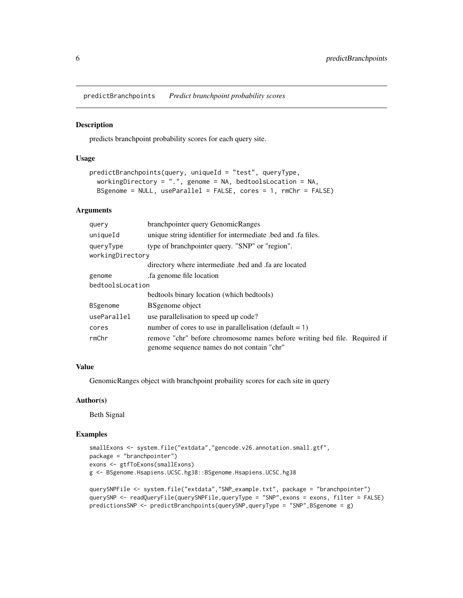<span id="page-5-0"></span>predictBranchpoints *Predict branchpoint probability scores*

#### Description

predicts branchpoint probability scores for each query site.

#### Usage

```
predictBranchpoints(query, uniqueId = "test", queryType,
 workingDirectory = ".", genome = NA, bedtoolsLocation = NA,
 BSgenome = NULL, useParallel = FALSE, cores = 1, rmChr = FALSE)
```
#### Arguments

| query            | branchpointer query GenomicRanges                                                                                       |  |
|------------------|-------------------------------------------------------------------------------------------------------------------------|--|
| uniqueId         | unique string identifier for intermediate bed and fa files.                                                             |  |
| queryType        | type of branchpointer query. "SNP" or "region".                                                                         |  |
| workingDirectory |                                                                                                                         |  |
|                  | directory where intermediate bed and fa are located                                                                     |  |
| genome           | fa genome file location.                                                                                                |  |
| bedtoolsLocation |                                                                                                                         |  |
|                  | bedtools binary location (which bedtools)                                                                               |  |
| <b>BSgenome</b>  | <b>BS</b> genome object                                                                                                 |  |
| useParallel      | use parallelisation to speed up code?                                                                                   |  |
| cores            | number of cores to use in parallelisation (default $= 1$ )                                                              |  |
| rmChr            | remove "chr" before chromosome names before writing bed file. Required if<br>genome sequence names do not contain "chr" |  |

#### Value

GenomicRanges object with branchpoint probaility scores for each site in query

#### Author(s)

Beth Signal

```
smallExons <- system.file("extdata","gencode.v26.annotation.small.gtf",
package = "branchpointer")
exons <- gtfToExons(smallExons)
g <- BSgenome.Hsapiens.UCSC.hg38::BSgenome.Hsapiens.UCSC.hg38
querySNPFile <- system.file("extdata","SNP_example.txt", package = "branchpointer")
querySNP <- readQueryFile(querySNPFile,queryType = "SNP",exons = exons, filter = FALSE)
```

```
predictionsSNP <- predictBranchpoints(querySNP, queryType = "SNP", BSgenome = g)
```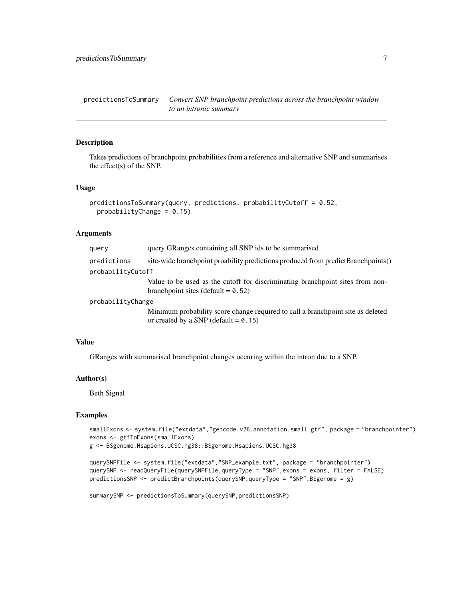<span id="page-6-0"></span>predictionsToSummary *Convert SNP branchpoint predictions across the branchpoint window to an intronic summary*

#### Description

Takes predictions of branchpoint probabilities from a reference and alternative SNP and summarises the effect(s) of the SNP.

#### Usage

```
predictionsToSummary(query, predictions, probabilityCutoff = 0.52,
 probabilityChange = 0.15
```
#### Arguments

| query             | query GRanges containing all SNP ids to be summarised                                                                  |  |
|-------------------|------------------------------------------------------------------------------------------------------------------------|--|
| predictions       | site-wide branchpoint proability predictions produced from predictBranchpoints()                                       |  |
| probabilityCutoff |                                                                                                                        |  |
|                   | Value to be used as the cutoff for discriminating branchpoint sites from non-<br>branchpoint sites (default = $0.52$ ) |  |

probabilityChange

Minimum probability score change required to call a branchpoint site as deleted or created by a SNP (default =  $0.15$ )

#### Value

GRanges with summarised branchpoint changes occuring within the intron due to a SNP.

#### Author(s)

Beth Signal

```
smallExons <- system.file("extdata","gencode.v26.annotation.small.gtf", package = "branchpointer")
exons <- gtfToExons(smallExons)
```

```
g <- BSgenome.Hsapiens.UCSC.hg38::BSgenome.Hsapiens.UCSC.hg38
```

```
querySNPFile <- system.file("extdata","SNP_example.txt", package = "branchpointer")
querySNP <- readQueryFile(querySNPFile,queryType = "SNP",exons = exons, filter = FALSE)
predictionsSNP <- predictBranchpoints(querySNP,queryType = "SNP",BSgenome = g)
```

```
summarySNP <- predictionsToSummary(querySNP,predictionsSNP)
```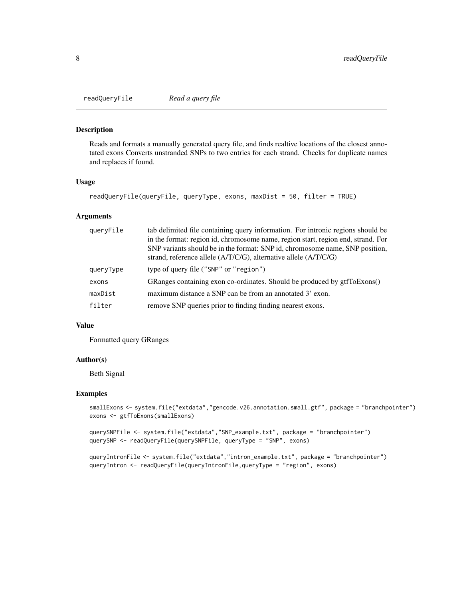<span id="page-7-0"></span>readQueryFile *Read a query file*

#### Description

Reads and formats a manually generated query file, and finds realtive locations of the closest annotated exons Converts unstranded SNPs to two entries for each strand. Checks for duplicate names and replaces if found.

#### Usage

```
readQueryFile(queryFile, queryType, exons, maxDist = 50, filter = TRUE)
```
#### Arguments

| queryFile | tab delimited file containing query information. For intronic regions should be<br>in the format: region id, chromosome name, region start, region end, strand. For<br>SNP variants should be in the format: SNP id, chromosome name, SNP position,<br>strand, reference allele $(A/T/C/G)$ , alternative allele $(A/T/C/G)$ |
|-----------|------------------------------------------------------------------------------------------------------------------------------------------------------------------------------------------------------------------------------------------------------------------------------------------------------------------------------|
| queryType | type of query file ("SNP" or "region")                                                                                                                                                                                                                                                                                       |
|           |                                                                                                                                                                                                                                                                                                                              |
| exons     | GRanges containing exon co-ordinates. Should be produced by gtfToExons()                                                                                                                                                                                                                                                     |
| maxDist   | maximum distance a SNP can be from an annotated 3' exon.                                                                                                                                                                                                                                                                     |
| filter    | remove SNP queries prior to finding finding nearest exons.                                                                                                                                                                                                                                                                   |

#### Value

Formatted query GRanges

#### Author(s)

Beth Signal

```
smallExons <- system.file("extdata","gencode.v26.annotation.small.gtf", package = "branchpointer")
exons <- gtfToExons(smallExons)
```

```
querySNPFile <- system.file("extdata","SNP_example.txt", package = "branchpointer")
querySNP <- readQueryFile(querySNPFile, queryType = "SNP", exons)
```

```
queryIntronFile <- system.file("extdata","intron_example.txt", package = "branchpointer")
queryIntron <- readQueryFile(queryIntronFile,queryType = "region", exons)
```